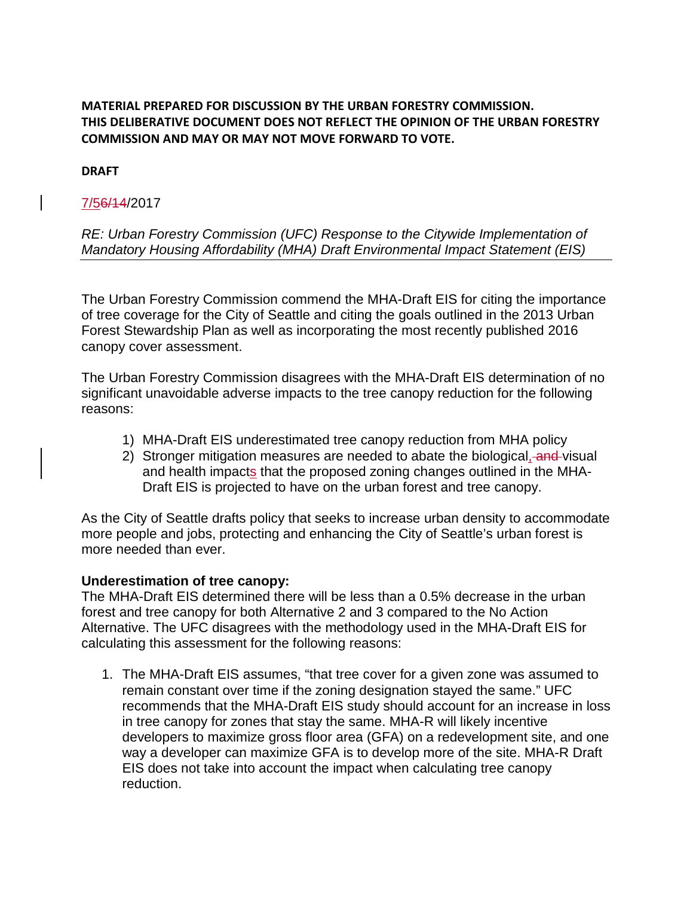# **MATERIAL PREPARED FOR DISCUSSION BY THE URBAN FORESTRY COMMISSION. THIS DELIBERATIVE DOCUMENT DOES NOT REFLECT THE OPINION OF THE URBAN FORESTRY COMMISSION AND MAY OR MAY NOT MOVE FORWARD TO VOTE.**

#### **DRAFT**

# 7/56/14/2017

### *RE: Urban Forestry Commission (UFC) Response to the Citywide Implementation of Mandatory Housing Affordability (MHA) Draft Environmental Impact Statement (EIS)*

The Urban Forestry Commission commend the MHA-Draft EIS for citing the importance of tree coverage for the City of Seattle and citing the goals outlined in the 2013 Urban Forest Stewardship Plan as well as incorporating the most recently published 2016 canopy cover assessment.

The Urban Forestry Commission disagrees with the MHA-Draft EIS determination of no significant unavoidable adverse impacts to the tree canopy reduction for the following reasons:

- 1) MHA-Draft EIS underestimated tree canopy reduction from MHA policy
- 2) Stronger mitigation measures are needed to abate the biological, and visual and health impacts that the proposed zoning changes outlined in the MHA-Draft EIS is projected to have on the urban forest and tree canopy.

As the City of Seattle drafts policy that seeks to increase urban density to accommodate more people and jobs, protecting and enhancing the City of Seattle's urban forest is more needed than ever.

#### **Underestimation of tree canopy:**

The MHA-Draft EIS determined there will be less than a 0.5% decrease in the urban forest and tree canopy for both Alternative 2 and 3 compared to the No Action Alternative. The UFC disagrees with the methodology used in the MHA-Draft EIS for calculating this assessment for the following reasons:

1. The MHA-Draft EIS assumes, "that tree cover for a given zone was assumed to remain constant over time if the zoning designation stayed the same." UFC recommends that the MHA-Draft EIS study should account for an increase in loss in tree canopy for zones that stay the same. MHA-R will likely incentive developers to maximize gross floor area (GFA) on a redevelopment site, and one way a developer can maximize GFA is to develop more of the site. MHA-R Draft EIS does not take into account the impact when calculating tree canopy reduction.